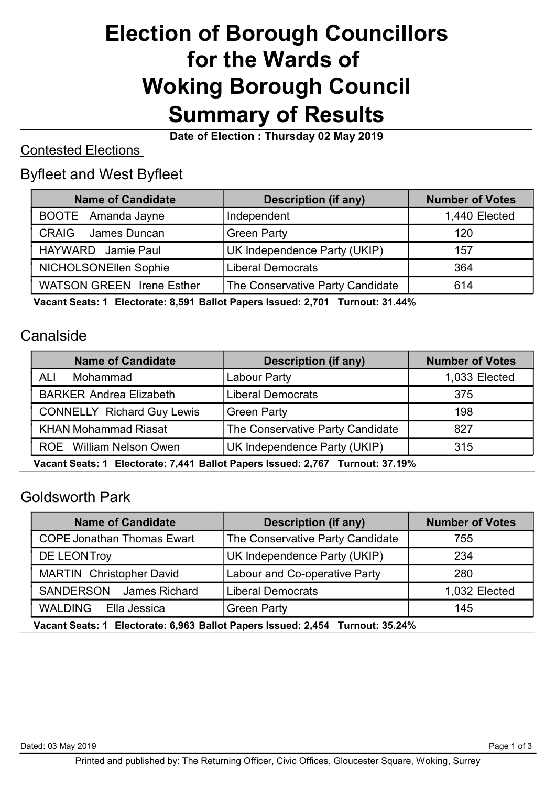# Election of Borough Councillors for the Wards of Woking Borough Council Summary of Results

Date of Election : Thursday 02 May 2019

#### Contested Elections

## Byfleet and West Byfleet

| <b>Name of Candidate</b>         | <b>Description (if any)</b>      | <b>Number of Votes</b> |  |
|----------------------------------|----------------------------------|------------------------|--|
| BOOTE Amanda Jayne               | Independent                      | 1,440 Elected          |  |
| <b>CRAIG</b><br>James Duncan     | <b>Green Party</b>               | 120                    |  |
| HAYWARD Jamie Paul               | UK Independence Party (UKIP)     | 157                    |  |
| NICHOLSONEllen Sophie            | <b>Liberal Democrats</b>         | 364                    |  |
| <b>WATSON GREEN Irene Esther</b> | The Conservative Party Candidate | 614                    |  |
|                                  |                                  |                        |  |

Vacant Seats: 1 Electorate: 8,591 Ballot Papers Issued: 2,701 Turnout: 31.44%

#### Canalside

| <b>Name of Candidate</b><br><b>Description (if any)</b> |                                  | <b>Number of Votes</b> |  |
|---------------------------------------------------------|----------------------------------|------------------------|--|
| ALI<br>Mohammad                                         | Labour Party                     | 1,033 Elected          |  |
| <b>BARKER Andrea Elizabeth</b>                          | <b>Liberal Democrats</b>         | 375                    |  |
| <b>CONNELLY Richard Guy Lewis</b>                       | <b>Green Party</b>               | 198                    |  |
| <b>KHAN Mohammad Riasat</b>                             | The Conservative Party Candidate | 827                    |  |
| ROE William Nelson Owen                                 | UK Independence Party (UKIP)     | 315                    |  |

Vacant Seats: 1 Electorate: 7,441 Ballot Papers Issued: 2,767 Turnout: 37.19%

## Goldsworth Park

| <b>Name of Candidate</b>          | <b>Description (if any)</b>                                                       | <b>Number of Votes</b> |  |
|-----------------------------------|-----------------------------------------------------------------------------------|------------------------|--|
| <b>COPE Jonathan Thomas Ewart</b> | The Conservative Party Candidate                                                  | 755                    |  |
| DE LEONTroy                       | UK Independence Party (UKIP)                                                      | 234                    |  |
| <b>MARTIN</b> Christopher David   | <b>Labour and Co-operative Party</b>                                              | 280                    |  |
| SANDERSON<br>James Richard        | Liberal Democrats                                                                 | 1,032 Elected          |  |
| WALDING<br>Ella Jessica           | <b>Green Party</b>                                                                | 145                    |  |
|                                   | Morant Orador 4. Electronics A AAA. Bellet Benedictional A 454. Thomas AL AE A40/ |                        |  |

Vacant Seats: 1 Electorate: 6,963 Ballot Papers Issued: 2,454 Turnout: 35.24%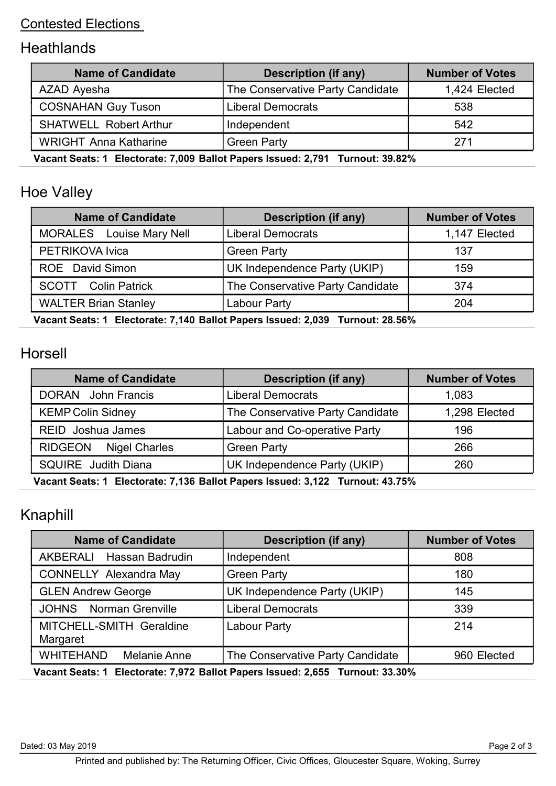#### Contested Elections

# **Heathlands**

| <b>Name of Candidate</b>                                                           | <b>Description (if any)</b>      | <b>Number of Votes</b> |  |
|------------------------------------------------------------------------------------|----------------------------------|------------------------|--|
| AZAD Ayesha                                                                        | The Conservative Party Candidate | 1,424 Elected          |  |
| <b>COSNAHAN Guy Tuson</b>                                                          | <b>Liberal Democrats</b>         | 538                    |  |
| <b>SHATWELL Robert Arthur</b>                                                      | Independent                      | 542                    |  |
| <b>WRIGHT Anna Katharine</b>                                                       | <b>Green Party</b>               | 271                    |  |
| Moneth Broton 4. Flockswetch 7,000, Bollet Boycan Issued: 0,704 . Tunnerst, 00,000 |                                  |                        |  |

Vacant Seats: 1 Electorate: 7,009 Ballot Papers Issued: 2,791 Turnout: 39.82%

# Hoe Valley

| <b>Name of Candidate</b>        | <b>Description (if any)</b>      | <b>Number of Votes</b> |  |
|---------------------------------|----------------------------------|------------------------|--|
| <b>MORALES</b> Louise Mary Nell | <b>Liberal Democrats</b>         | 1,147 Elected          |  |
| PETRIKOVA Ivica                 | <b>Green Party</b>               | 137                    |  |
| <b>ROE</b> David Simon          | UK Independence Party (UKIP)     | 159                    |  |
| <b>SCOTT</b> Colin Patrick      | The Conservative Party Candidate | 374                    |  |
| <b>WALTER Brian Stanley</b>     | Labour Party                     | 204                    |  |

Vacant Seats: 1 Electorate: 7,140 Ballot Papers Issued: 2,039 Turnout: 28.56%

#### Horsell

| <b>Name of Candidate</b>                                                          | <b>Description (if any)</b>      | <b>Number of Votes</b> |  |
|-----------------------------------------------------------------------------------|----------------------------------|------------------------|--|
| <b>DORAN</b> John Francis                                                         | <b>Liberal Democrats</b>         | 1,083                  |  |
| <b>KEMP Colin Sidney</b>                                                          | The Conservative Party Candidate | 1,298 Elected          |  |
| <b>REID</b> Joshua James                                                          | Labour and Co-operative Party    | 196                    |  |
| <b>RIDGEON</b><br>Nigel Charles                                                   | <b>Green Party</b>               | 266                    |  |
| <b>SQUIRE</b> Judith Diana                                                        | UK Independence Party (UKIP)     | 260                    |  |
| Vocant Cooter 4. Electerate: 7.426 Dellet Denore Icousel: 2.422. Turnsut: 42.750/ |                                  |                        |  |

Vacant Seats: 1 Electorate: 7,136 Ballot Papers Issued: 3,122 Turnout: 43.75%

## Knaphill

| <b>Name of Candidate</b>                                                      | <b>Description (if any)</b>      | <b>Number of Votes</b> |  |  |
|-------------------------------------------------------------------------------|----------------------------------|------------------------|--|--|
| <b>AKBERALI</b><br>Hassan Badrudin                                            | Independent                      | 808                    |  |  |
| <b>CONNELLY Alexandra May</b>                                                 | <b>Green Party</b>               | 180                    |  |  |
| <b>GLEN Andrew George</b>                                                     | UK Independence Party (UKIP)     | 145                    |  |  |
| <b>JOHNS</b> Norman Grenville                                                 | <b>Liberal Democrats</b>         | 339                    |  |  |
| MITCHELL-SMITH Geraldine<br>Margaret                                          | <b>Labour Party</b>              | 214                    |  |  |
| <b>WHITEHAND</b><br>Melanie Anne                                              | The Conservative Party Candidate | 960 Elected            |  |  |
| Vacant Seats: 1 Electorate: 7,972 Ballot Papers Issued: 2,655 Turnout: 33.30% |                                  |                        |  |  |